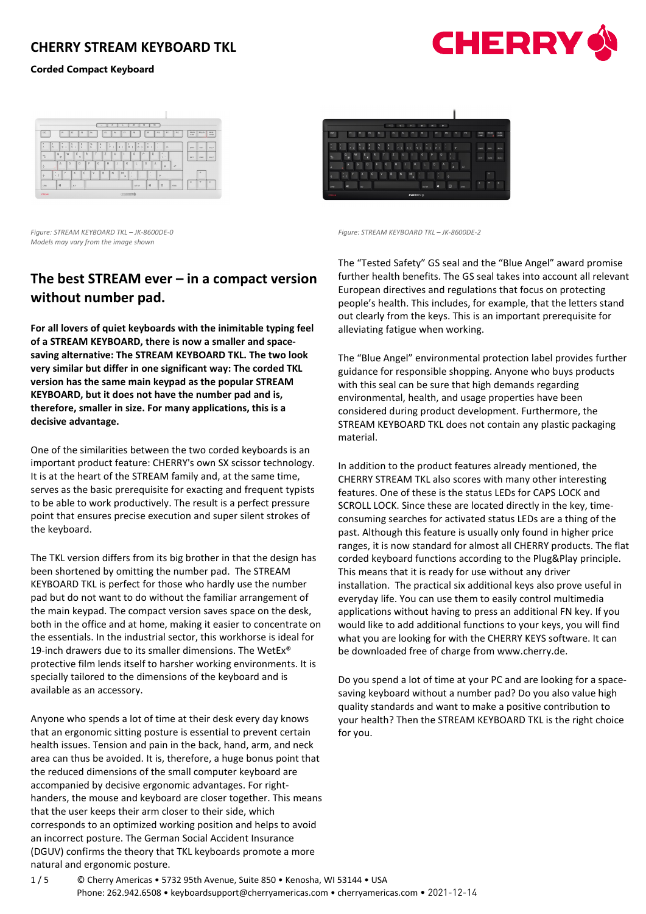### **Corded Compact Keyboard**





*Figure: STREAM KEYBOARD TKL – JK-8600DE-0 Figure: STREAM KEYBOARD TKL – JK-8600DE-2 Models may vary from the image shown* 

# **The best STREAM ever – in a compact version without number pad.**

**For all lovers of quiet keyboards with the inimitable typing feel of a STREAM KEYBOARD, there is now a smaller and spacesaving alternative: The STREAM KEYBOARD TKL. The two look very similar but differ in one significant way: The corded TKL version has the same main keypad as the popular STREAM KEYBOARD, but it does not have the number pad and is, therefore, smaller in size. For many applications, this is a decisive advantage.**

One of the similarities between the two corded keyboards is an important product feature: CHERRY's own SX scissor technology. It is at the heart of the STREAM family and, at the same time, serves as the basic prerequisite for exacting and frequent typists to be able to work productively. The result is a perfect pressure point that ensures precise execution and super silent strokes of the keyboard.

The TKL version differs from its big brother in that the design has been shortened by omitting the number pad. The STREAM KEYBOARD TKL is perfect for those who hardly use the number pad but do not want to do without the familiar arrangement of the main keypad. The compact version saves space on the desk, both in the office and at home, making it easier to concentrate on the essentials. In the industrial sector, this workhorse is ideal for 19-inch drawers due to its smaller dimensions. The WetEx® protective film lends itself to harsher working environments. It is specially tailored to the dimensions of the keyboard and is available as an accessory.

Anyone who spends a lot of time at their desk every day knows that an ergonomic sitting posture is essential to prevent certain health issues. Tension and pain in the back, hand, arm, and neck area can thus be avoided. It is, therefore, a huge bonus point that the reduced dimensions of the small computer keyboard are accompanied by decisive ergonomic advantages. For righthanders, the mouse and keyboard are closer together. This means that the user keeps their arm closer to their side, which corresponds to an optimized working position and helps to avoid an incorrect posture. The German Social Accident Insurance (DGUV) confirms the theory that TKL keyboards promote a more natural and ergonomic posture.

|             |                |    |   |                |     |    |              |   |   |   |   |           | × |              |   |                         |   | M        | ×       |           | R) |     |        |     |            |              |                      |                         |                              |
|-------------|----------------|----|---|----------------|-----|----|--------------|---|---|---|---|-----------|---|--------------|---|-------------------------|---|----------|---------|-----------|----|-----|--------|-----|------------|--------------|----------------------|-------------------------|------------------------------|
| <b>ISO</b>  |                | 51 |   | $\mathbb{R}^n$ |     | 63 |              | R |   |   |   | <b>PS</b> |   | $\mathbf{H}$ |   | <b>P</b>                |   | m        |         | <b>PF</b> |    | F10 |        | 511 |            | 612          | BANKS.<br><b>SAM</b> | <b>ROLLEN</b>           | <b>PALSE</b><br><b>INTER</b> |
|             |                |    |   | á              |     |    |              | ę |   | ž |   |           |   |              |   |                         |   |          |         |           |    | ٠   |        | ×.  |            |              | cwo.                 | POST                    | 08.04                        |
|             | $\overline{a}$ |    | W |                | E   | c  | $\mathsf{R}$ |   | T |   | z |           | п |              |   |                         |   | $\Omega$ | $\circ$ |           | 10 |     | ٠<br>٠ |     |            |              | <b>INTE</b>          | <b>ENDE</b>             | <b>BLDV</b>                  |
|             |                | A  |   | s              |     | D  |              | F |   | G |   | H         |   |              |   | $\overline{\mathbf{x}}$ |   |          | $\circ$ |           | Ä  |     |        | ø   |            | $\mathbf{q}$ |                      |                         |                              |
|             |                |    | Y |                | X   |    | $\mathbf{c}$ |   | v |   | B |           | N |              | M | $\mathbf{u}$            | ٠ |          |         | ٠         |    |     | ٠      |     |            |              |                      | $\overline{\mathbf{a}}$ |                              |
| <b>CTRS</b> |                | н  |   |                | ax. |    |              |   |   |   |   |           |   |              |   |                         |   | ALT GR   |         | н         |    |     | $\Box$ |     | <b>COL</b> |              | ×                    | ×                       | ٠                            |

The "Tested Safety" GS seal and the "Blue Angel" award promise further health benefits. The GS seal takes into account all relevant European directives and regulations that focus on protecting people's health. This includes, for example, that the letters stand out clearly from the keys. This is an important prerequisite for alleviating fatigue when working.

The "Blue Angel" environmental protection label provides further guidance for responsible shopping. Anyone who buys products with this seal can be sure that high demands regarding environmental, health, and usage properties have been considered during product development. Furthermore, the STREAM KEYBOARD TKL does not contain any plastic packaging material.

In addition to the product features already mentioned, the CHERRY STREAM TKL also scores with many other interesting features. One of these is the status LEDs for CAPS LOCK and SCROLL LOCK. Since these are located directly in the key, timeconsuming searches for activated status LEDs are a thing of the past. Although this feature is usually only found in higher price ranges, it is now standard for almost all CHERRY products. The flat corded keyboard functions according to the Plug&Play principle. This means that it is ready for use without any driver installation. The practical six additional keys also prove useful in everyday life. You can use them to easily control multimedia applications without having to press an additional FN key. If you would like to add additional functions to your keys, you will find what you are looking for with the CHERRY KEYS software. It can be downloaded free of charge from www.cherry.de.

Do you spend a lot of time at your PC and are looking for a spacesaving keyboard without a number pad? Do you also value high quality standards and want to make a positive contribution to your health? Then the STREAM KEYBOARD TKL is the right choice for you.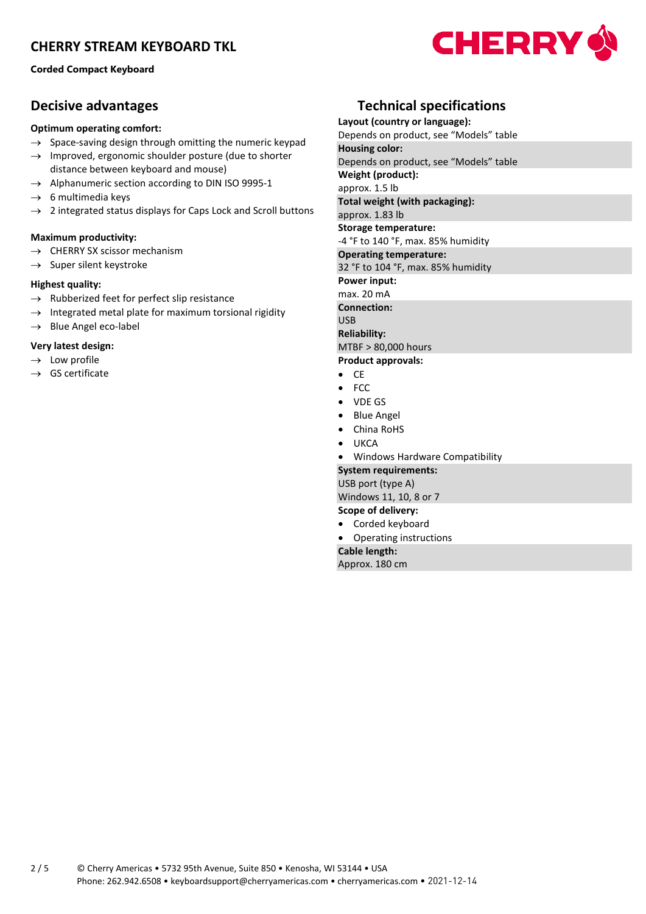**Corded Compact Keyboard**

## **Decisive advantages**

### **Optimum operating comfort:**

- $\rightarrow$  Space-saving design through omitting the numeric keypad
- $\rightarrow$  Improved, ergonomic shoulder posture (due to shorter distance between keyboard and mouse)
- $\rightarrow$  Alphanumeric section according to DIN ISO 9995-1
- $\rightarrow$  6 multimedia keys
- $\rightarrow$  2 integrated status displays for Caps Lock and Scroll buttons

### **Maximum productivity:**

- $\rightarrow$  CHERRY SX scissor mechanism
- $\rightarrow$  Super silent keystroke

### **Highest quality:**

- $\rightarrow$  Rubberized feet for perfect slip resistance
- $\rightarrow$  Integrated metal plate for maximum torsional rigidity
- $\rightarrow$  Blue Angel eco-label

### **Very latest design:**

- $\rightarrow$  Low profile
- $\rightarrow$  GS certificate

## **Technical specifications**

**Layout (country or language):** Depends on product, see "Models" table **Housing color:** Depends on product, see "Models" table **Weight (product):** approx. 1.5 lb **Total weight (with packaging):** approx. 1.83 lb **Storage temperature:** -4 °F to 140 °F, max. 85% humidity **Operating temperature:** 32 °F to 104 °F, max. 85% humidity **Power input:** max. 20 mA **Connection:** USB **Reliability:** MTBF > 80,000 hours **Product approvals:** • CE • FCC • VDE GS • Blue Angel • China RoHS • UKCA • Windows Hardware Compatibility **System requirements:** USB port (type A) Windows 11, 10, 8 or 7 **Scope of delivery:**

- Corded keyboard • Operating instructions
- **Cable length:**

Approx. 180 cm

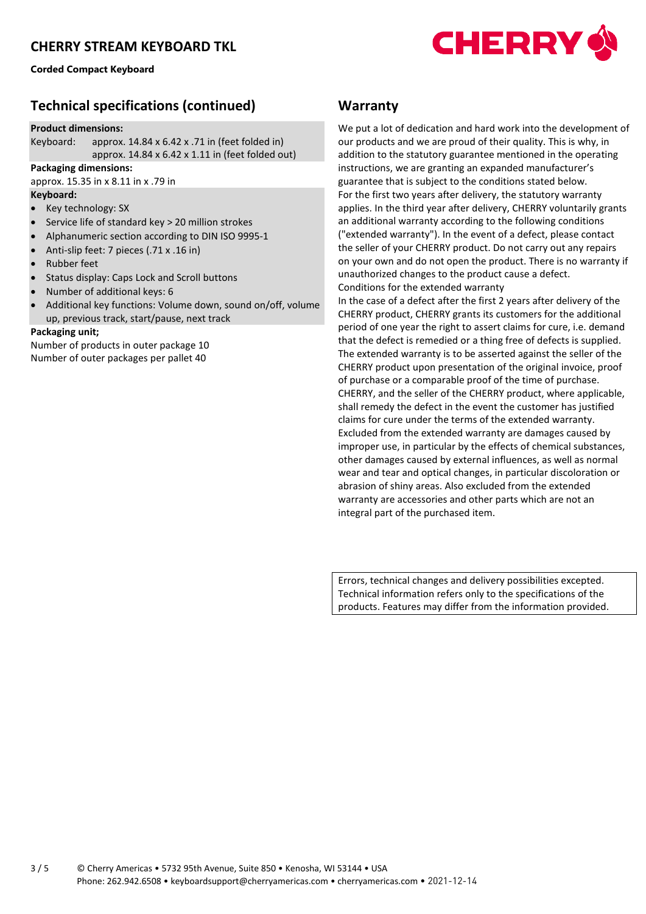**Corded Compact Keyboard**



# **Technical specifications (continued)**

#### **Product dimensions:**

Keyboard: approx. 14.84 x 6.42 x .71 in (feet folded in) approx. 14.84 x 6.42 x 1.11 in (feet folded out)

#### **Packaging dimensions:**

approx. 15.35 in x 8.11 in x .79 in

### **Keyboard:**

- Key technology: SX
- Service life of standard key > 20 million strokes
- Alphanumeric section according to DIN ISO 9995-1
- Anti-slip feet: 7 pieces (.71 x .16 in)
- Rubber feet
- Status display: Caps Lock and Scroll buttons
- Number of additional keys: 6
- Additional key functions: Volume down, sound on/off, volume up, previous track, start/pause, next track

#### **Packaging unit;**

Number of products in outer package 10 Number of outer packages per pallet 40

### **Warranty**

We put a lot of dedication and hard work into the development of our products and we are proud of their quality. This is why, in addition to the statutory guarantee mentioned in the operating instructions, we are granting an expanded manufacturer's guarantee that is subject to the conditions stated below. For the first two years after delivery, the statutory warranty applies. In the third year after delivery, CHERRY voluntarily grants an additional warranty according to the following conditions ("extended warranty"). In the event of a defect, please contact the seller of your CHERRY product. Do not carry out any repairs on your own and do not open the product. There is no warranty if unauthorized changes to the product cause a defect. Conditions for the extended warranty

In the case of a defect after the first 2 years after delivery of the CHERRY product, CHERRY grants its customers for the additional period of one year the right to assert claims for cure, i.e. demand that the defect is remedied or a thing free of defects is supplied. The extended warranty is to be asserted against the seller of the CHERRY product upon presentation of the original invoice, proof of purchase or a comparable proof of the time of purchase. CHERRY, and the seller of the CHERRY product, where applicable, shall remedy the defect in the event the customer has justified claims for cure under the terms of the extended warranty. Excluded from the extended warranty are damages caused by improper use, in particular by the effects of chemical substances, other damages caused by external influences, as well as normal wear and tear and optical changes, in particular discoloration or abrasion of shiny areas. Also excluded from the extended warranty are accessories and other parts which are not an integral part of the purchased item.

Errors, technical changes and delivery possibilities excepted. Technical information refers only to the specifications of the products. Features may differ from the information provided.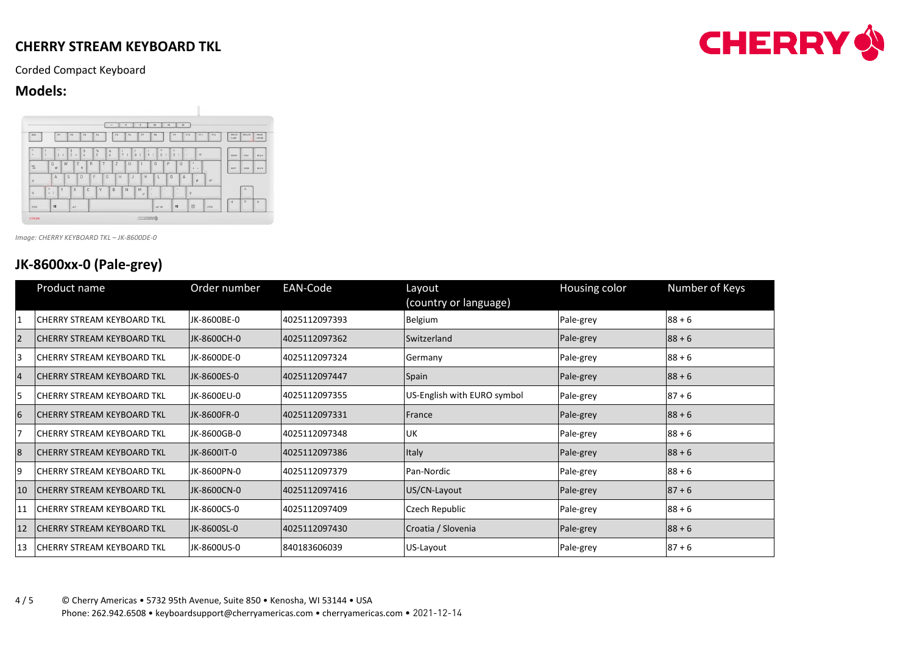Corded Compact Keyboard

## **Models:**



*Image: CHERRY KEYBOARD TKL – JK-8600DE-0*

# **JK-8600xx-0 (Pale-grey)**

|                 | Product name                       | Order number | EAN-Code       | Layout<br>(country or language) | Housing color | Number of Keys |
|-----------------|------------------------------------|--------------|----------------|---------------------------------|---------------|----------------|
|                 | <b>ICHERRY STREAM KEYBOARD TKL</b> | JK-8600BE-0  | 4025112097393  | Belgium                         | Pale-grey     | $88 + 6$       |
| $\overline{2}$  | <b>ICHERRY STREAM KEYBOARD TKL</b> | JK-8600CH-0  | 4025112097362  | Switzerland                     | Pale-grey     | $88 + 6$       |
| 3               | <b>ICHERRY STREAM KEYBOARD TKL</b> | JK-8600DE-0  | 4025112097324  | Germany                         | Pale-grey     | $88 + 6$       |
| $\overline{4}$  | <b>ICHERRY STREAM KEYBOARD TKL</b> | JK-8600ES-0  | 14025112097447 | Spain                           | Pale-grey     | $88 + 6$       |
| 5               | <b>ICHERRY STREAM KEYBOARD TKL</b> | JK-8600EU-0  | 4025112097355  | US-English with EURO symbol     | Pale-grey     | $87 + 6$       |
| $6\phantom{.}6$ | <b>ICHERRY STREAM KEYBOARD TKL</b> | JK-8600FR-0  | 4025112097331  | <b>IFrance</b>                  | Pale-grey     | $88 + 6$       |
| 7               | <b>ICHERRY STREAM KEYBOARD TKL</b> | JK-8600GB-0  | 4025112097348  | IUK.                            | Pale-grey     | $88 + 6$       |
| 8               | <b>ICHERRY STREAM KEYBOARD TKL</b> | JK-8600IT-0  | 4025112097386  | Italy                           | Pale-grey     | $88 + 6$       |
| 9               | <b>ICHERRY STREAM KEYBOARD TKL</b> | JK-8600PN-0  | 4025112097379  | Pan-Nordic                      | Pale-grey     | $88 + 6$       |
| 10              | <b>ICHERRY STREAM KEYBOARD TKL</b> | JK-8600CN-0  | 4025112097416  | US/CN-Layout                    | Pale-grey     | $87 + 6$       |
|                 | <b>ICHERRY STREAM KEYBOARD TKL</b> | JK-8600CS-0  | 4025112097409  | Czech Republic                  | Pale-grey     | $88 + 6$       |
| 12              | <b>CHERRY STREAM KEYBOARD TKL</b>  | JK-8600SL-0  | 4025112097430  | Croatia / Slovenia              | Pale-grey     | $88 + 6$       |
| 13              | <b>CHERRY STREAM KEYBOARD TKL</b>  | JK-8600US-0  | 840183606039   | US-Layout                       | Pale-grey     | $87 + 6$       |